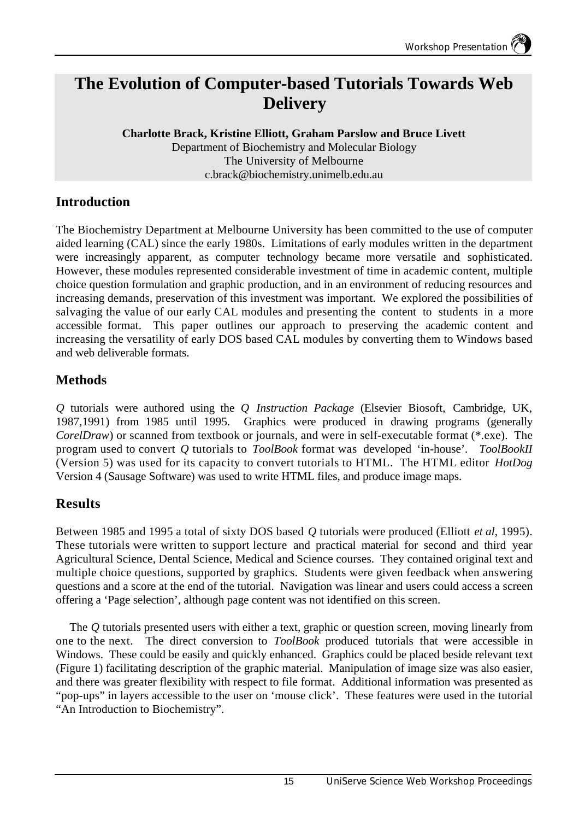# **The Evolution of Computer-based Tutorials Towards Web Delivery**

**Charlotte Brack, Kristine Elliott, Graham Parslow and Bruce Livett** Department of Biochemistry and Molecular Biology The University of Melbourne c.brack@biochemistry.unimelb.edu.au

### **Introduction**

The Biochemistry Department at Melbourne University has been committed to the use of computer aided learning (CAL) since the early 1980s. Limitations of early modules written in the department were increasingly apparent, as computer technology became more versatile and sophisticated. However, these modules represented considerable investment of time in academic content, multiple choice question formulation and graphic production, and in an environment of reducing resources and increasing demands, preservation of this investment was important. We explored the possibilities of salvaging the value of our early CAL modules and presenting the content to students in a more accessible format. This paper outlines our approach to preserving the academic content and increasing the versatility of early DOS based CAL modules by converting them to Windows based and web deliverable formats.

## **Methods**

*Q* tutorials were authored using the *Q Instruction Package* (Elsevier Biosoft, Cambridge, UK, 1987,1991) from 1985 until 1995. Graphics were produced in drawing programs (generally *CorelDraw*) or scanned from textbook or journals, and were in self-executable format (\*.exe). The program used to convert *Q* tutorials to *ToolBook* format was developed 'in-house'. *ToolBookII* (Version 5) was used for its capacity to convert tutorials to HTML. The HTML editor *HotDog* Version 4 (Sausage Software) was used to write HTML files, and produce image maps.

### **Results**

Between 1985 and 1995 a total of sixty DOS based *Q* tutorials were produced (Elliott *et al*, 1995). These tutorials were written to support lecture and practical material for second and third year Agricultural Science, Dental Science, Medical and Science courses. They contained original text and multiple choice questions, supported by graphics. Students were given feedback when answering questions and a score at the end of the tutorial. Navigation was linear and users could access a screen offering a 'Page selection', although page content was not identified on this screen.

The *Q* tutorials presented users with either a text, graphic or question screen, moving linearly from one to the next. The direct conversion to *ToolBook* produced tutorials that were accessible in Windows. These could be easily and quickly enhanced. Graphics could be placed beside relevant text (Figure 1) facilitating description of the graphic material. Manipulation of image size was also easier, and there was greater flexibility with respect to file format. Additional information was presented as "pop-ups" in layers accessible to the user on 'mouse click'. These features were used in the tutorial "An Introduction to Biochemistry".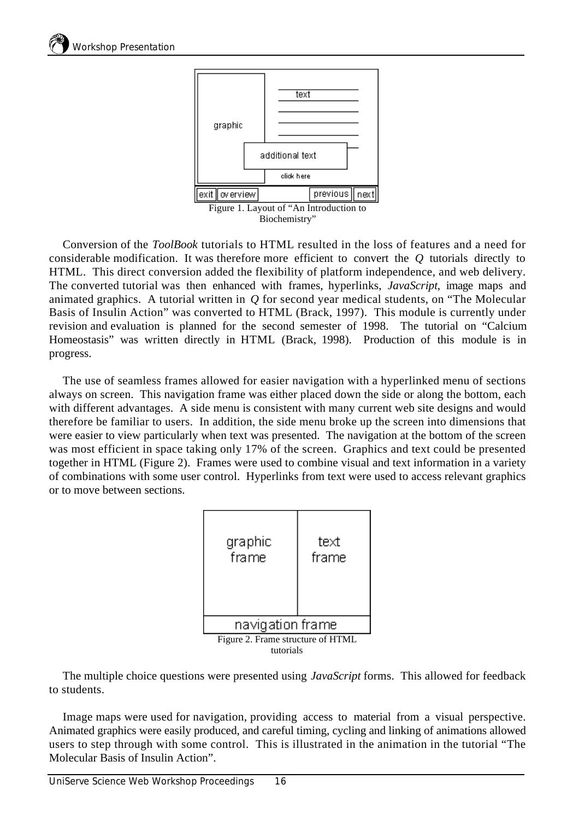

Conversion of the *ToolBook* tutorials to HTML resulted in the loss of features and a need for considerable modification. It was therefore more efficient to convert the *Q* tutorials directly to HTML. This direct conversion added the flexibility of platform independence, and web delivery. The converted tutorial was then enhanced with frames, hyperlinks, *JavaScript*, image maps and animated graphics. A tutorial written in *Q* for second year medical students, on "The Molecular Basis of Insulin Action" was converted to HTML (Brack, 1997). This module is currently under revision and evaluation is planned for the second semester of 1998. The tutorial on "Calcium Homeostasis" was written directly in HTML (Brack, 1998). Production of this module is in progress.

The use of seamless frames allowed for easier navigation with a hyperlinked menu of sections always on screen. This navigation frame was either placed down the side or along the bottom, each with different advantages. A side menu is consistent with many current web site designs and would therefore be familiar to users. In addition, the side menu broke up the screen into dimensions that were easier to view particularly when text was presented. The navigation at the bottom of the screen was most efficient in space taking only 17% of the screen. Graphics and text could be presented together in HTML (Figure 2). Frames were used to combine visual and text information in a variety of combinations with some user control. Hyperlinks from text were used to access relevant graphics or to move between sections.



The multiple choice questions were presented using *JavaScript* forms. This allowed for feedback to students.

Image maps were used for navigation, providing access to material from a visual perspective. Animated graphics were easily produced, and careful timing, cycling and linking of animations allowed users to step through with some control. This is illustrated in the animation in the tutorial "The Molecular Basis of Insulin Action".